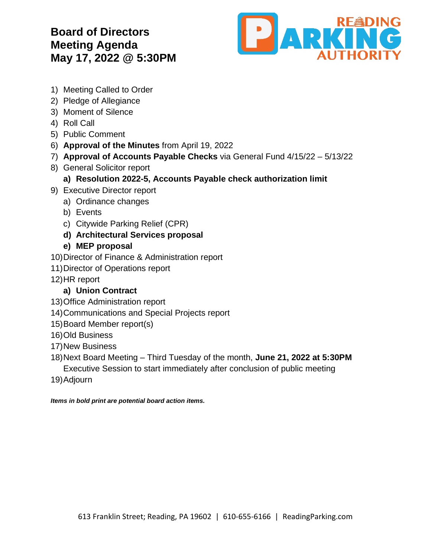## **Board of Directors Meeting Agenda May 17, 2022 @ 5:30PM**



- 1) Meeting Called to Order
- 2) Pledge of Allegiance
- 3) Moment of Silence
- 4) Roll Call
- 5) Public Comment
- 6) **Approval of the Minutes** from April 19, 2022
- 7) **Approval of Accounts Payable Checks** via General Fund 4/15/22 5/13/22
- 8) General Solicitor report
	- **a) Resolution 2022-5, Accounts Payable check authorization limit**
- 9) Executive Director report
	- a) Ordinance changes
	- b) Events
	- c) Citywide Parking Relief (CPR)
	- **d) Architectural Services proposal**
	- **e) MEP proposal**
- 10)Director of Finance & Administration report
- 11)Director of Operations report
- 12)HR report

## **a) Union Contract**

- 13)Office Administration report
- 14)Communications and Special Projects report
- 15)Board Member report(s)
- 16)Old Business
- 17)New Business
- 18)Next Board Meeting Third Tuesday of the month, **June 21, 2022 at 5:30PM** Executive Session to start immediately after conclusion of public meeting
- 19)Adjourn

*Items in bold print are potential board action items.*